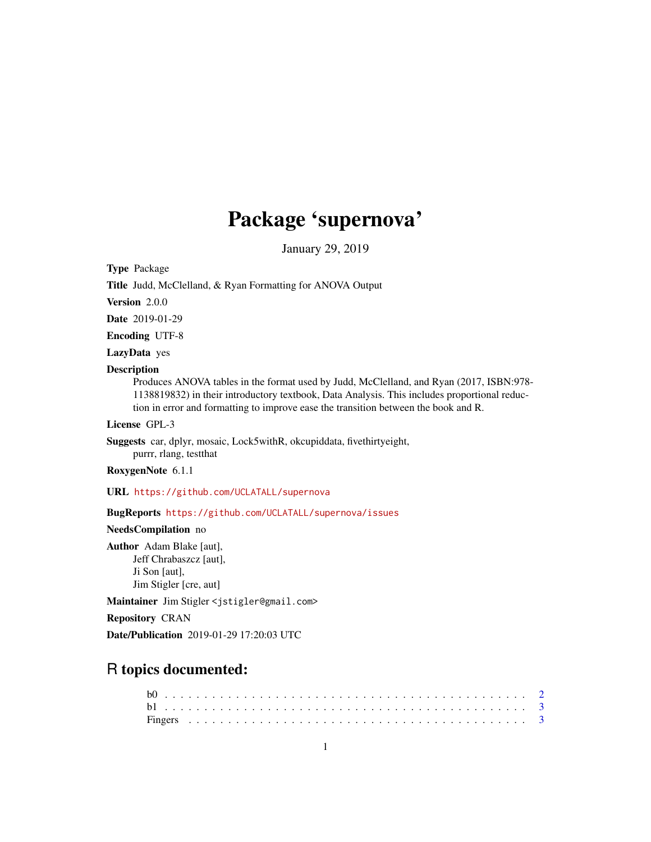# Package 'supernova'

January 29, 2019

<span id="page-0-0"></span>Type Package

Title Judd, McClelland, & Ryan Formatting for ANOVA Output

Version 2.0.0

Date 2019-01-29

Encoding UTF-8

LazyData yes

#### Description

Produces ANOVA tables in the format used by Judd, McClelland, and Ryan (2017, ISBN:978- 1138819832) in their introductory textbook, Data Analysis. This includes proportional reduction in error and formatting to improve ease the transition between the book and R.

License GPL-3

Suggests car, dplyr, mosaic, Lock5withR, okcupiddata, fivethirtyeight, purrr, rlang, testthat

RoxygenNote 6.1.1

URL <https://github.com/UCLATALL/supernova>

BugReports <https://github.com/UCLATALL/supernova/issues>

NeedsCompilation no

Author Adam Blake [aut], Jeff Chrabaszcz [aut], Ji Son [aut], Jim Stigler [cre, aut]

Maintainer Jim Stigler <jstigler@gmail.com>

Repository CRAN

Date/Publication 2019-01-29 17:20:03 UTC

# R topics documented: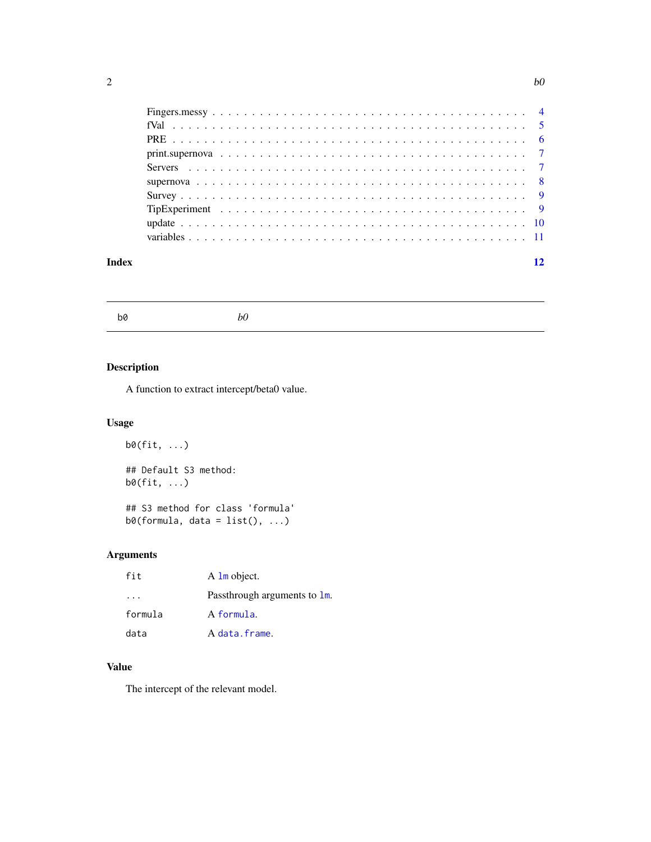<span id="page-1-0"></span>

| Index | 12 |
|-------|----|
|       |    |
|       |    |
|       |    |
|       |    |
|       |    |
|       |    |
|       |    |
|       |    |
|       |    |
|       |    |

b0 *b0*

# Description

A function to extract intercept/beta0 value.

# Usage

b0(fit, ...) ## Default S3 method: b0(fit, ...)

## S3 method for class 'formula'  $b\varnothing$ (formula, data = list(), ...)

# Arguments

| fit     | A 1m object.                 |
|---------|------------------------------|
|         | Passthrough arguments to 1m. |
| formula | A formula.                   |
| data    | A data.frame.                |

# Value

The intercept of the relevant model.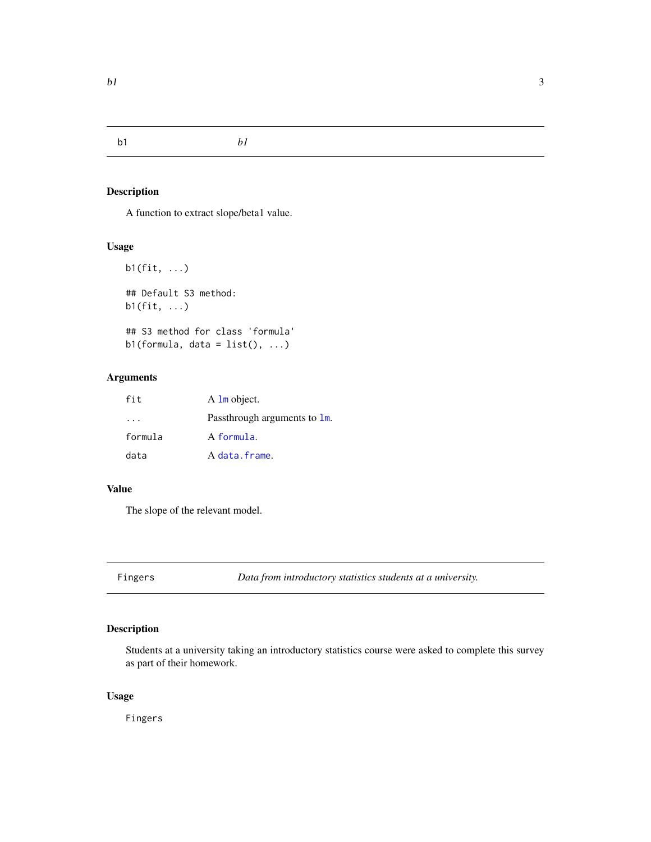<span id="page-2-0"></span>b1 *b1*

# Description

A function to extract slope/beta1 value.

# Usage

```
b1(fit, ...)
## Default S3 method:
b1(fit, ...)
## S3 method for class 'formula'
```
 $b1(formula, data = list(), ...)$ 

# Arguments

| fit     | $A \text{ } \text{Im}$ object. |
|---------|--------------------------------|
|         | Passthrough arguments to 1m.   |
| formula | A formula.                     |
| data    | A data.frame.                  |

### Value

The slope of the relevant model.

Fingers *Data from introductory statistics students at a university.*

# Description

Students at a university taking an introductory statistics course were asked to complete this survey as part of their homework.

### Usage

Fingers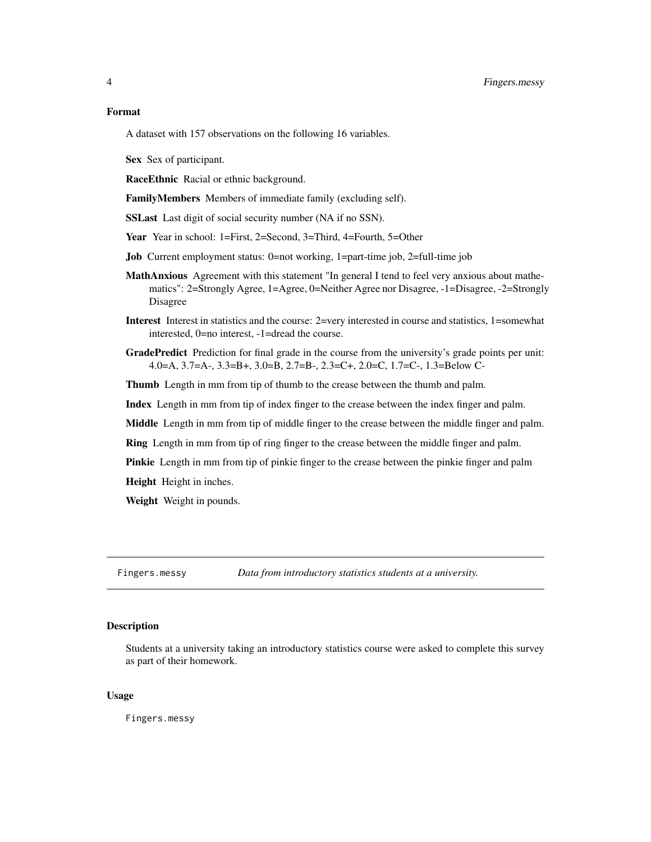#### <span id="page-3-0"></span>Format

A dataset with 157 observations on the following 16 variables.

Sex Sex of participant.

RaceEthnic Racial or ethnic background.

FamilyMembers Members of immediate family (excluding self).

SSLast Last digit of social security number (NA if no SSN).

Year Year in school: 1=First, 2=Second, 3=Third, 4=Fourth, 5=Other

- Job Current employment status: 0=not working, 1=part-time job, 2=full-time job
- MathAnxious Agreement with this statement "In general I tend to feel very anxious about mathematics": 2=Strongly Agree, 1=Agree, 0=Neither Agree nor Disagree, -1=Disagree, -2=Strongly Disagree
- Interest Interest in statistics and the course: 2=very interested in course and statistics, 1=somewhat interested, 0=no interest, -1=dread the course.
- GradePredict Prediction for final grade in the course from the university's grade points per unit: 4.0=A, 3.7=A-, 3.3=B+, 3.0=B, 2.7=B-, 2.3=C+, 2.0=C, 1.7=C-, 1.3=Below C-

Thumb Length in mm from tip of thumb to the crease between the thumb and palm.

Index Length in mm from tip of index finger to the crease between the index finger and palm.

Middle Length in mm from tip of middle finger to the crease between the middle finger and palm.

Ring Length in mm from tip of ring finger to the crease between the middle finger and palm.

Pinkie Length in mm from tip of pinkie finger to the crease between the pinkie finger and palm

Height Height in inches.

Weight Weight in pounds.

Fingers.messy *Data from introductory statistics students at a university.*

#### Description

Students at a university taking an introductory statistics course were asked to complete this survey as part of their homework.

#### Usage

Fingers.messy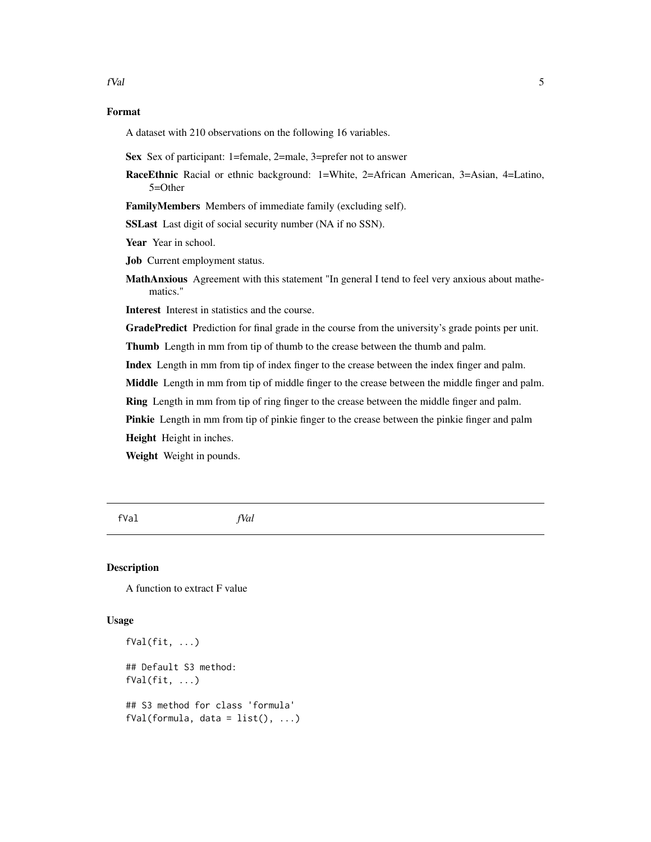# <span id="page-4-0"></span>Format

A dataset with 210 observations on the following 16 variables.

Sex Sex of participant: 1=female, 2=male, 3=prefer not to answer

RaceEthnic Racial or ethnic background: 1=White, 2=African American, 3=Asian, 4=Latino, 5=Other

FamilyMembers Members of immediate family (excluding self).

SSLast Last digit of social security number (NA if no SSN).

Year Year in school.

Job Current employment status.

MathAnxious Agreement with this statement "In general I tend to feel very anxious about mathematics."

Interest Interest in statistics and the course.

GradePredict Prediction for final grade in the course from the university's grade points per unit.

Thumb Length in mm from tip of thumb to the crease between the thumb and palm.

Index Length in mm from tip of index finger to the crease between the index finger and palm.

Middle Length in mm from tip of middle finger to the crease between the middle finger and palm.

Ring Length in mm from tip of ring finger to the crease between the middle finger and palm.

Pinkie Length in mm from tip of pinkie finger to the crease between the pinkie finger and palm

Height Height in inches.

Weight Weight in pounds.

fVal *fVal*

### Description

A function to extract F value

#### Usage

```
fVal(fit, ...)
## Default S3 method:
fVal(fit, ...)
## S3 method for class 'formula'
fVal(formula, data = list(), ...)
```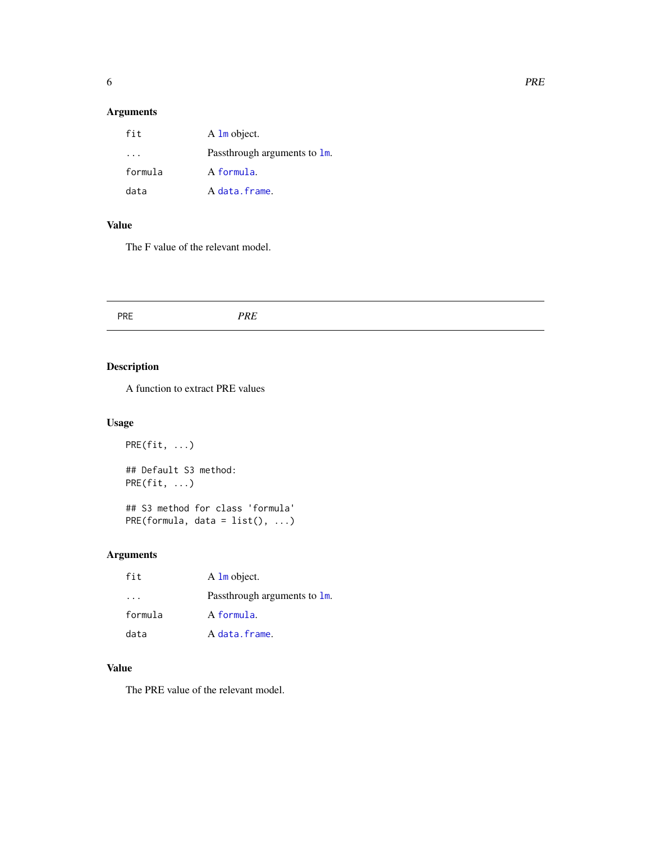# <span id="page-5-0"></span>Arguments

| fit       | A 1m object.                 |
|-----------|------------------------------|
| $\cdot$ . | Passthrough arguments to 1m. |
| formula   | A formula.                   |
| data      | A data.frame.                |

### Value

The F value of the relevant model.

# Description

A function to extract PRE values

# Usage

 $PRE(fit, ...)$ ## Default S3 method: PRE(fit, ...) ## S3 method for class 'formula' PRE(formula, data =  $list()$ , ...)

# Arguments

| fit     | A 1m object.                 |
|---------|------------------------------|
|         | Passthrough arguments to 1m. |
| formula | A formula.                   |
| data    | A data.frame.                |

# Value

The PRE value of the relevant model.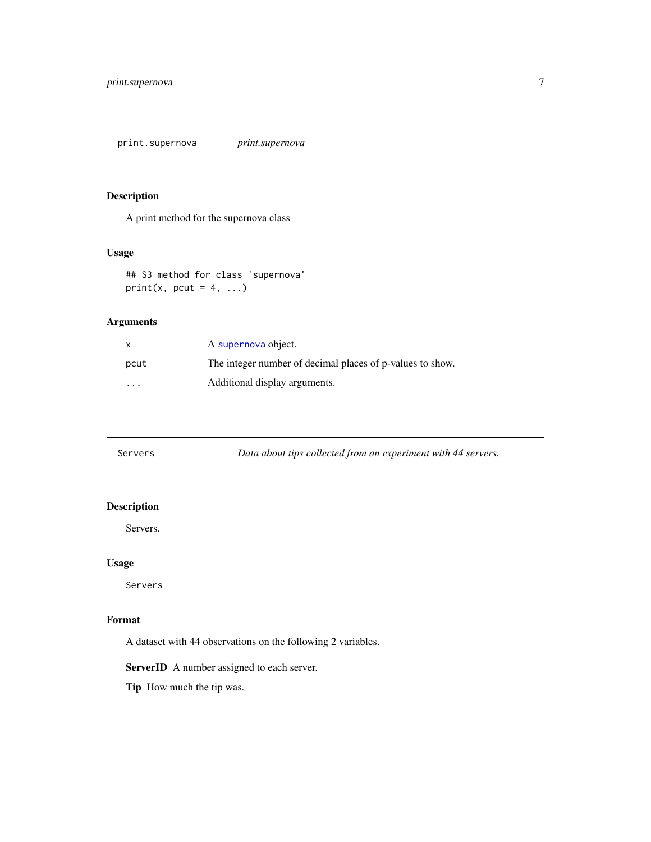<span id="page-6-0"></span>print.supernova *print.supernova*

# Description

A print method for the supernova class

# Usage

## S3 method for class 'supernova' print(x, pcut =  $4, ...$ )

# Arguments

| x       | A supernova object.                                       |
|---------|-----------------------------------------------------------|
| pcut    | The integer number of decimal places of p-values to show. |
| $\cdot$ | Additional display arguments.                             |

Servers *Data about tips collected from an experiment with 44 servers.*

# Description

Servers.

#### Usage

Servers

# Format

A dataset with 44 observations on the following 2 variables.

ServerID A number assigned to each server.

Tip How much the tip was.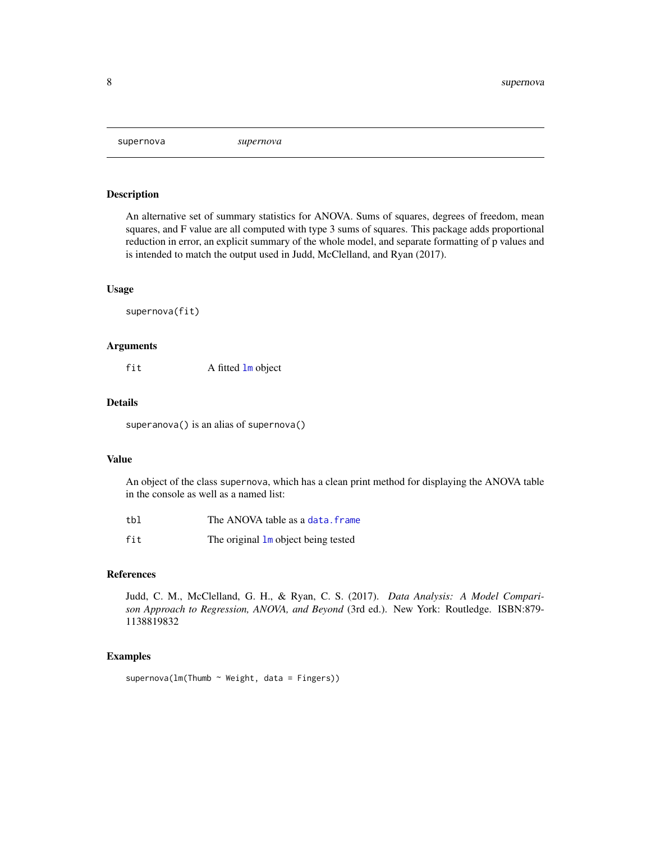<span id="page-7-1"></span><span id="page-7-0"></span>supernova *supernova*

#### Description

An alternative set of summary statistics for ANOVA. Sums of squares, degrees of freedom, mean squares, and F value are all computed with type 3 sums of squares. This package adds proportional reduction in error, an explicit summary of the whole model, and separate formatting of p values and is intended to match the output used in Judd, McClelland, and Ryan (2017).

#### Usage

supernova(fit)

#### Arguments

fit A fitted [lm](#page-0-0) object

#### Details

superanova() is an alias of supernova()

#### Value

An object of the class supernova, which has a clean print method for displaying the ANOVA table in the console as well as a named list:

| tbl | The ANOVA table as a data. frame    |
|-----|-------------------------------------|
| fit | The original 1m object being tested |

#### References

Judd, C. M., McClelland, G. H., & Ryan, C. S. (2017). *Data Analysis: A Model Comparison Approach to Regression, ANOVA, and Beyond* (3rd ed.). New York: Routledge. ISBN:879- 1138819832

### Examples

supernova( $lm(Thumb \sim Weight, data = Fingers)$ )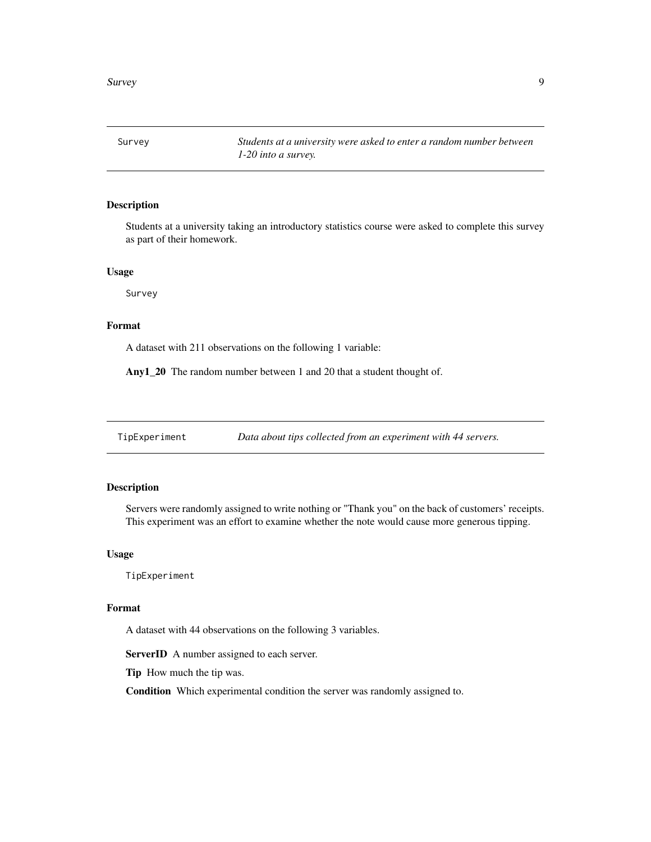<span id="page-8-0"></span>Survey *Students at a university were asked to enter a random number between 1-20 into a survey.*

# Description

Students at a university taking an introductory statistics course were asked to complete this survey as part of their homework.

#### Usage

Survey

#### Format

A dataset with 211 observations on the following 1 variable:

Any1\_20 The random number between 1 and 20 that a student thought of.

TipExperiment *Data about tips collected from an experiment with 44 servers.*

#### Description

Servers were randomly assigned to write nothing or "Thank you" on the back of customers' receipts. This experiment was an effort to examine whether the note would cause more generous tipping.

#### Usage

TipExperiment

#### Format

A dataset with 44 observations on the following 3 variables.

ServerID A number assigned to each server.

Tip How much the tip was.

Condition Which experimental condition the server was randomly assigned to.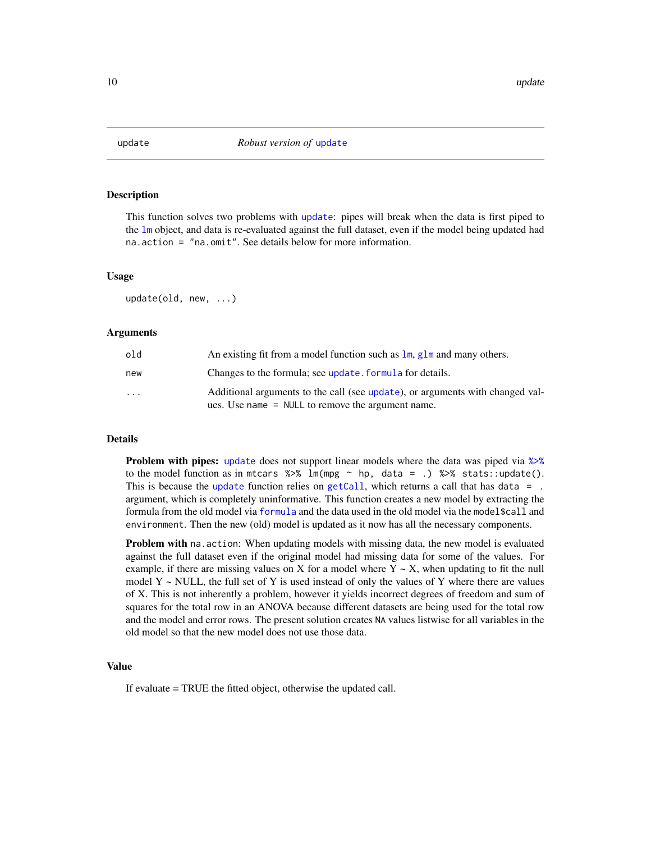<span id="page-9-1"></span><span id="page-9-0"></span>

#### Description

This function solves two problems with [update](#page-9-1): pipes will break when the data is first piped to the [lm](#page-0-0) object, and data is re-evaluated against the full dataset, even if the model being updated had na.action = "na.omit". See details below for more information.

#### Usage

update(old, new, ...)

# Arguments

| old                     | An existing fit from a model function such as $\text{Im}$ , $\text{glm}$ and many others.                                            |
|-------------------------|--------------------------------------------------------------------------------------------------------------------------------------|
| new                     | Changes to the formula; see update. formula for details.                                                                             |
| $\cdot$ $\cdot$ $\cdot$ | Additional arguments to the call (see update), or arguments with changed val-<br>ues. Use name $=$ NULL to remove the argument name. |

#### Details

Problem with pipes: [update](#page-9-1) does not support linear models where the data was piped via  $\gg\$ to the model function as in mtcars  $\frac{2}{3}$  lm(mpg ~ hp, data = .)  $\frac{2}{3}$  stats::update(). This is because the [update](#page-9-1) function relies on [getCall](#page-0-0), which returns a call that has data =  $\alpha$ . argument, which is completely uninformative. This function creates a new model by extracting the formula from the old model via [formula](#page-0-0) and the data used in the old model via the model\$call and environment. Then the new (old) model is updated as it now has all the necessary components.

Problem with na. action: When updating models with missing data, the new model is evaluated against the full dataset even if the original model had missing data for some of the values. For example, if there are missing values on X for a model where  $Y \sim X$ , when updating to fit the null model  $Y \sim \text{NULL}$ , the full set of Y is used instead of only the values of Y where there are values of X. This is not inherently a problem, however it yields incorrect degrees of freedom and sum of squares for the total row in an ANOVA because different datasets are being used for the total row and the model and error rows. The present solution creates NA values listwise for all variables in the old model so that the new model does not use those data.

# Value

If evaluate = TRUE the fitted object, otherwise the updated call.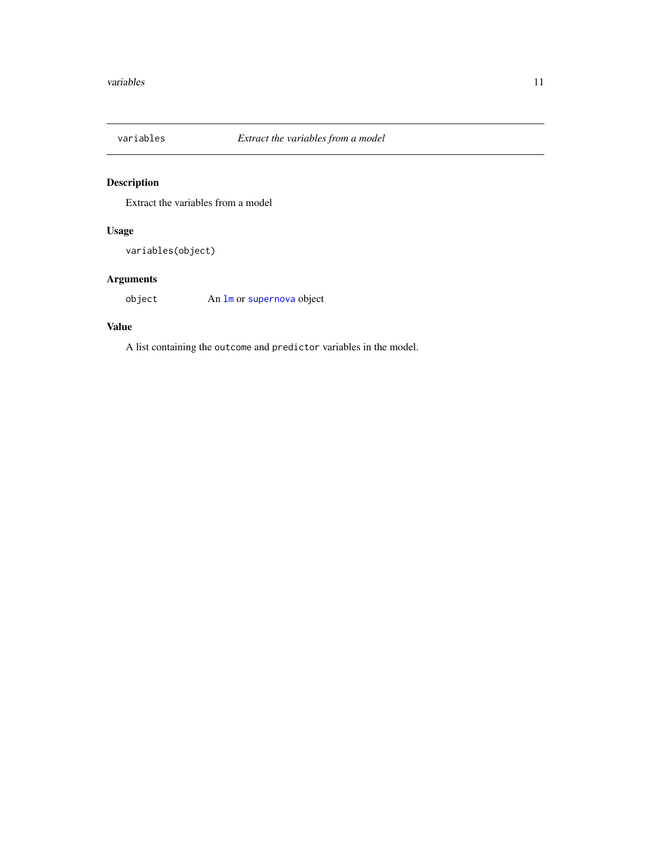<span id="page-10-0"></span>

# Description

Extract the variables from a model

# Usage

variables(object)

# Arguments

object An [lm](#page-0-0) or [supernova](#page-7-1) object

# Value

A list containing the outcome and predictor variables in the model.